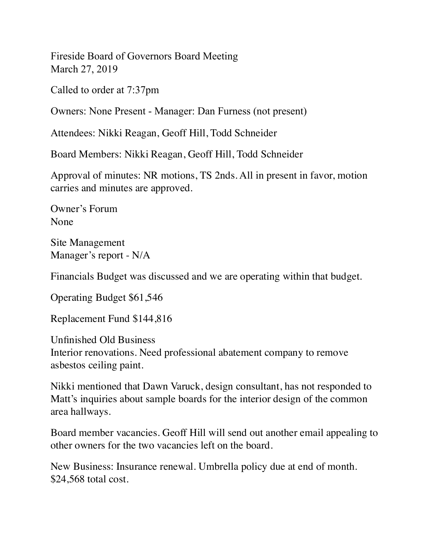Fireside Board of Governors Board Meeting March 27, 2019

Called to order at 7:37pm

Owners: None Present - Manager: Dan Furness (not present)

Attendees: Nikki Reagan, Geoff Hill, Todd Schneider

Board Members: Nikki Reagan, Geoff Hill, Todd Schneider

Approval of minutes: NR motions, TS 2nds. All in present in favor, motion carries and minutes are approved.

Owner's Forum None

Site Management Manager's report - N/A

Financials Budget was discussed and we are operating within that budget.

Operating Budget \$61,546

Replacement Fund \$144,816

Unfinished Old Business Interior renovations. Need professional abatement company to remove asbestos ceiling paint.

Nikki mentioned that Dawn Varuck, design consultant, has not responded to Matt's inquiries about sample boards for the interior design of the common area hallways.

Board member vacancies. Geoff Hill will send out another email appealing to other owners for the two vacancies left on the board.

New Business: Insurance renewal. Umbrella policy due at end of month. \$24,568 total cost.